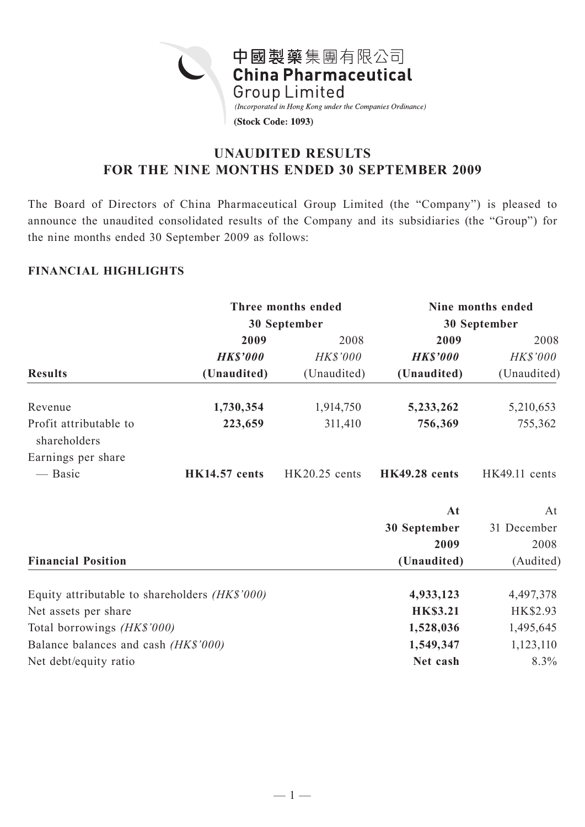

# **UNAUDITED RESULTS FOR THE NINE MONTHS ENDED 30 SEPTEMBER 2009**

The Board of Directors of China Pharmaceutical Group Limited (the "Company") is pleased to announce the unaudited consolidated results of the Company and its subsidiaries (the "Group") for the nine months ended 30 September 2009 as follows:

## **FINANCIAL HIGHLIGHTS**

|                                                 |                      | Three months ended | Nine months ended    |               |  |
|-------------------------------------------------|----------------------|--------------------|----------------------|---------------|--|
|                                                 |                      | 30 September       | 30 September         |               |  |
|                                                 | 2009                 | 2008               | 2009                 | 2008          |  |
|                                                 | <b>HK\$'000</b>      | HK\$'000           | <b>HK\$'000</b>      | HK\$'000      |  |
| <b>Results</b>                                  | (Unaudited)          | (Unaudited)        | (Unaudited)          | (Unaudited)   |  |
| Revenue                                         | 1,730,354            | 1,914,750          | 5,233,262            | 5,210,653     |  |
| Profit attributable to<br>shareholders          | 223,659              | 311,410            | 756,369              | 755,362       |  |
| Earnings per share                              |                      |                    |                      |               |  |
| — Basic                                         | <b>HK14.57</b> cents | $HK20.25$ cents    | <b>HK49.28</b> cents | HK49.11 cents |  |
|                                                 |                      |                    | At                   | At            |  |
|                                                 |                      |                    | 30 September         | 31 December   |  |
|                                                 |                      |                    | 2009                 | 2008          |  |
| <b>Financial Position</b>                       |                      |                    | (Unaudited)          | (Audited)     |  |
| Equity attributable to shareholders $(HK$'000)$ |                      |                    | 4,933,123            | 4,497,378     |  |
| Net assets per share                            | <b>HK\$3.21</b>      | HK\$2.93           |                      |               |  |
| Total borrowings (HK\$'000)                     | 1,528,036            | 1,495,645          |                      |               |  |
| Balance balances and cash (HK\$'000)            |                      |                    | 1,549,347            | 1,123,110     |  |
| Net debt/equity ratio                           |                      |                    | Net cash             | 8.3%          |  |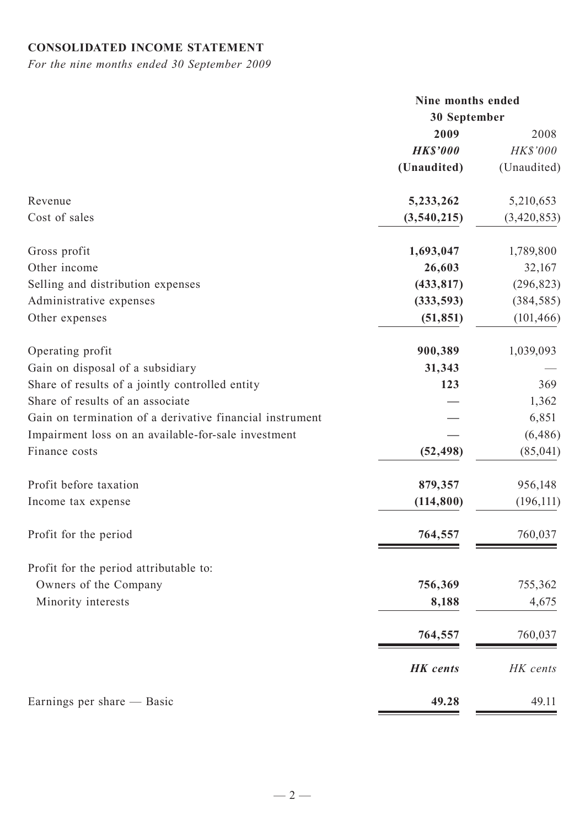# **CONSOLIDATED INCOME STATEMENT**

*For the nine months ended 30 September 2009*

|                                                          | Nine months ended |             |  |
|----------------------------------------------------------|-------------------|-------------|--|
|                                                          | 30 September      |             |  |
|                                                          | 2009              | 2008        |  |
|                                                          | <b>HK\$'000</b>   | HK\$'000    |  |
|                                                          | (Unaudited)       | (Unaudited) |  |
| Revenue                                                  | 5,233,262         | 5,210,653   |  |
| Cost of sales                                            | (3,540,215)       | (3,420,853) |  |
| Gross profit                                             | 1,693,047         | 1,789,800   |  |
| Other income                                             | 26,603            | 32,167      |  |
| Selling and distribution expenses                        | (433, 817)        | (296, 823)  |  |
| Administrative expenses                                  | (333, 593)        | (384, 585)  |  |
| Other expenses                                           | (51, 851)         | (101, 466)  |  |
| Operating profit                                         | 900,389           | 1,039,093   |  |
| Gain on disposal of a subsidiary                         | 31,343            |             |  |
| Share of results of a jointly controlled entity          | 123               | 369         |  |
| Share of results of an associate                         |                   | 1,362       |  |
| Gain on termination of a derivative financial instrument |                   | 6,851       |  |
| Impairment loss on an available-for-sale investment      |                   | (6, 486)    |  |
| Finance costs                                            | (52, 498)         | (85, 041)   |  |
| Profit before taxation                                   | 879,357           | 956,148     |  |
| Income tax expense                                       | (114, 800)        | (196, 111)  |  |
| Profit for the period                                    | 764,557           | 760,037     |  |
| Profit for the period attributable to:                   |                   |             |  |
| Owners of the Company                                    | 756,369           | 755,362     |  |
| Minority interests                                       | 8,188             | 4,675       |  |
|                                                          | 764,557           | 760,037     |  |
|                                                          | <b>HK</b> cents   | HK cents    |  |
| Earnings per share — Basic                               | 49.28             | 49.11       |  |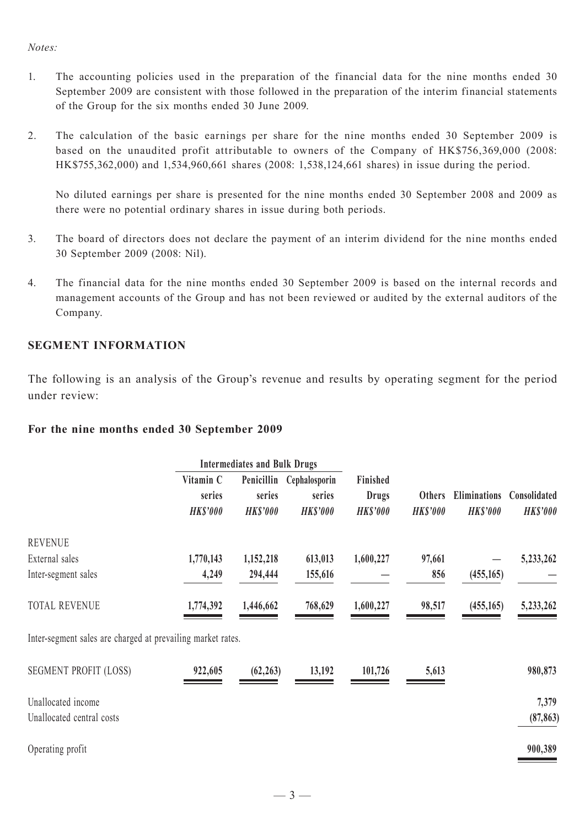### *Notes:*

- 1. The accounting policies used in the preparation of the financial data for the nine months ended 30 September 2009 are consistent with those followed in the preparation of the interim financial statements of the Group for the six months ended 30 June 2009.
- 2. The calculation of the basic earnings per share for the nine months ended 30 September 2009 is based on the unaudited profit attributable to owners of the Company of HK\$756,369,000 (2008: HK\$755,362,000) and 1,534,960,661 shares (2008: 1,538,124,661 shares) in issue during the period.

No diluted earnings per share is presented for the nine months ended 30 September 2008 and 2009 as there were no potential ordinary shares in issue during both periods.

- 3. The board of directors does not declare the payment of an interim dividend for the nine months ended 30 September 2009 (2008: Nil).
- 4. The financial data for the nine months ended 30 September 2009 is based on the internal records and management accounts of the Group and has not been reviewed or audited by the external auditors of the Company.

### **SEGMENT INFORMATION**

The following is an analysis of the Group's revenue and results by operating segment for the period under review:

### **For the nine months ended 30 September 2009**

|                                                             |                                        | <b>Intermediates and Bulk Drugs</b>     |                                            |                                             |                                  |                                        |                                 |
|-------------------------------------------------------------|----------------------------------------|-----------------------------------------|--------------------------------------------|---------------------------------------------|----------------------------------|----------------------------------------|---------------------------------|
|                                                             | Vitamin C<br>series<br><b>HK\$'000</b> | Penicillin<br>series<br><b>HK\$'000</b> | Cephalosporin<br>series<br><b>HK\$'000</b> | Finished<br><b>Drugs</b><br><b>HK\$'000</b> | <b>Others</b><br><b>HK\$'000</b> | <b>Eliminations</b><br><b>HK\$'000</b> | Consolidated<br><b>HK\$'000</b> |
| <b>REVENUE</b>                                              |                                        |                                         |                                            |                                             |                                  |                                        |                                 |
| External sales                                              | 1,770,143                              | 1,152,218                               | 613,013                                    | 1,600,227                                   | 97,661                           |                                        | 5,233,262                       |
| Inter-segment sales                                         | 4,249                                  | 294,444                                 | 155,616                                    |                                             | 856                              | (455, 165)                             |                                 |
| <b>TOTAL REVENUE</b>                                        | 1,774,392                              | 1,446,662                               | 768,629                                    | 1,600,227                                   | 98,517                           | (455, 165)                             | 5,233,262                       |
| Inter-segment sales are charged at prevailing market rates. |                                        |                                         |                                            |                                             |                                  |                                        |                                 |
| <b>SEGMENT PROFIT (LOSS)</b>                                | 922,605                                | (62, 263)                               | 13,192                                     | 101,726                                     | 5,613                            |                                        | 980,873                         |
| Unallocated income                                          |                                        |                                         |                                            |                                             |                                  |                                        | 7,379                           |
| Unallocated central costs                                   |                                        |                                         |                                            |                                             |                                  |                                        | (87, 863)                       |
| Operating profit                                            |                                        |                                         |                                            |                                             |                                  |                                        | 900,389                         |
|                                                             |                                        |                                         |                                            |                                             |                                  |                                        |                                 |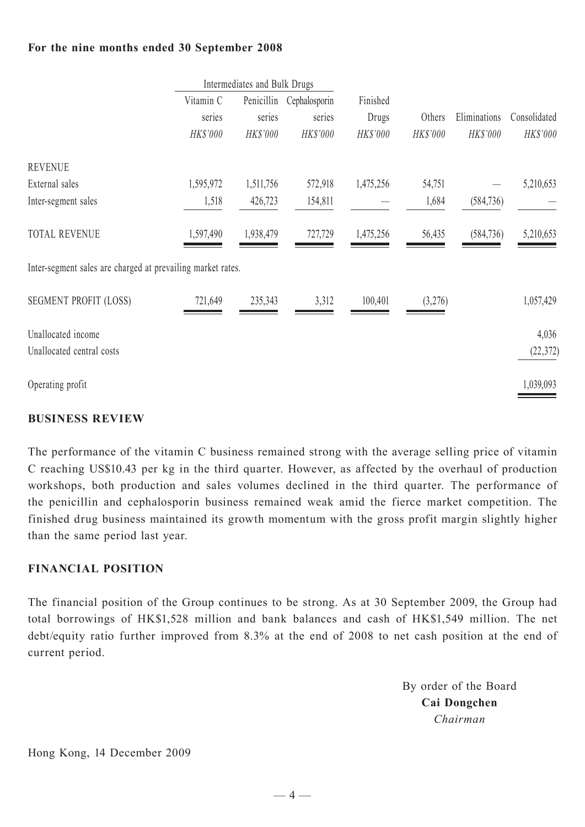## **For the nine months ended 30 September 2008**

|                                                             | Intermediates and Bulk Drugs |            |               |           |          |              |              |
|-------------------------------------------------------------|------------------------------|------------|---------------|-----------|----------|--------------|--------------|
|                                                             | Vitamin C                    | Penicillin | Cephalosporin | Finished  |          |              |              |
|                                                             | series                       | series     | series        | Drugs     | Others   | Eliminations | Consolidated |
|                                                             | HK\$'000                     | HK\$'000   | HK\$'000      | HK\$'000  | HK\$'000 | HK\$'000     | HK\$'000     |
| <b>REVENUE</b>                                              |                              |            |               |           |          |              |              |
| External sales                                              | 1,595,972                    | 1,511,756  | 572,918       | 1,475,256 | 54,751   |              | 5,210,653    |
| Inter-segment sales                                         | 1,518                        | 426,723    | 154,811       |           | 1,684    | (584, 736)   |              |
| <b>TOTAL REVENUE</b>                                        | 1,597,490                    | 1,938,479  | 727,729       | 1,475,256 | 56,435   | (584, 736)   | 5,210,653    |
| Inter-segment sales are charged at prevailing market rates. |                              |            |               |           |          |              |              |
| <b>SEGMENT PROFIT (LOSS)</b>                                | 721,649                      | 235,343    | 3,312         | 100,401   | (3,276)  |              | 1,057,429    |
| Unallocated income                                          |                              |            |               |           |          |              | 4,036        |
| Unallocated central costs                                   |                              |            |               |           |          |              | (22, 372)    |
| Operating profit                                            |                              |            |               |           |          |              | 1,039,093    |

## **BUSINESS REVIEW**

The performance of the vitamin C business remained strong with the average selling price of vitamin C reaching US\$10.43 per kg in the third quarter. However, as affected by the overhaul of production workshops, both production and sales volumes declined in the third quarter. The performance of the penicillin and cephalosporin business remained weak amid the fierce market competition. The finished drug business maintained its growth momentum with the gross profit margin slightly higher than the same period last year.

## **FINANCIAL POSITION**

The financial position of the Group continues to be strong. As at 30 September 2009, the Group had total borrowings of HK\$1,528 million and bank balances and cash of HK\$1,549 million. The net debt/equity ratio further improved from 8.3% at the end of 2008 to net cash position at the end of current period.

> By order of the Board **Cai Dongchen** *Chairman*

Hong Kong, 14 December 2009